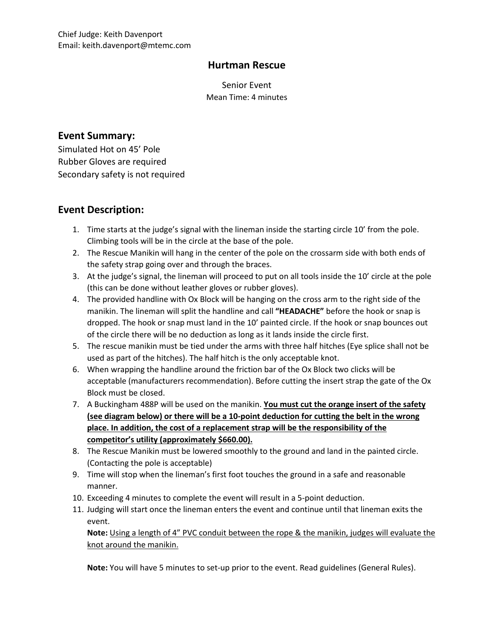## **Hurtman Rescue**

Senior Event Mean Time: 4 minutes

## **Event Summary:**

Simulated Hot on 45' Pole Rubber Gloves are required Secondary safety is not required

## **Event Description:**

- 1. Time starts at the judge's signal with the lineman inside the starting circle 10' from the pole. Climbing tools will be in the circle at the base of the pole.
- 2. The Rescue Manikin will hang in the center of the pole on the crossarm side with both ends of the safety strap going over and through the braces.
- 3. At the judge's signal, the lineman will proceed to put on all tools inside the 10' circle at the pole (this can be done without leather gloves or rubber gloves).
- 4. The provided handline with Ox Block will be hanging on the cross arm to the right side of the manikin. The lineman will split the handline and call **"HEADACHE"** before the hook or snap is dropped. The hook or snap must land in the 10' painted circle. If the hook or snap bounces out of the circle there will be no deduction as long as it lands inside the circle first.
- 5. The rescue manikin must be tied under the arms with three half hitches (Eye splice shall not be used as part of the hitches). The half hitch is the only acceptable knot.
- 6. When wrapping the handline around the friction bar of the Ox Block two clicks will be acceptable (manufacturers recommendation). Before cutting the insert strap the gate of the Ox Block must be closed.
- 7. A Buckingham 488P will be used on the manikin. **You must cut the orange insert of the safety (see diagram below) or there will be a 10-point deduction for cutting the belt in the wrong place. In addition, the cost of a replacement strap will be the responsibility of the competitor's utility (approximately \$660.00).**
- 8. The Rescue Manikin must be lowered smoothly to the ground and land in the painted circle. (Contacting the pole is acceptable)
- 9. Time will stop when the lineman's first foot touches the ground in a safe and reasonable manner.
- 10. Exceeding 4 minutes to complete the event will result in a 5-point deduction.
- 11. Judging will start once the lineman enters the event and continue until that lineman exits the event.

**Note:** Using a length of 4" PVC conduit between the rope & the manikin, judges will evaluate the knot around the manikin.

**Note:** You will have 5 minutes to set-up prior to the event. Read guidelines (General Rules).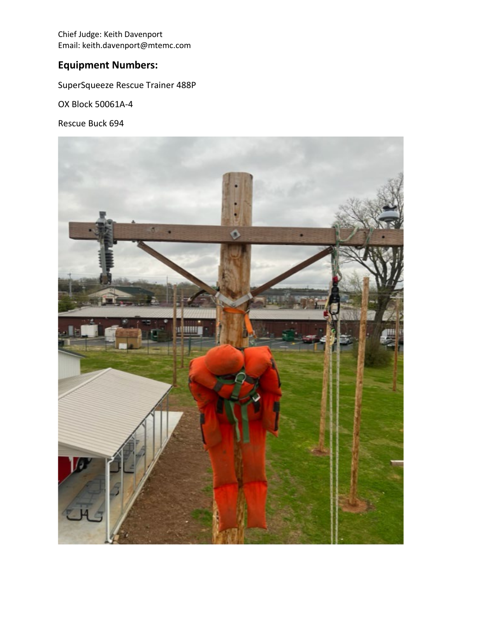Chief Judge: Keith Davenport Email: keith.davenport@mtemc.com

## **Equipment Numbers:**

SuperSqueeze Rescue Trainer 488P

OX Block 50061A-4

Rescue Buck 694

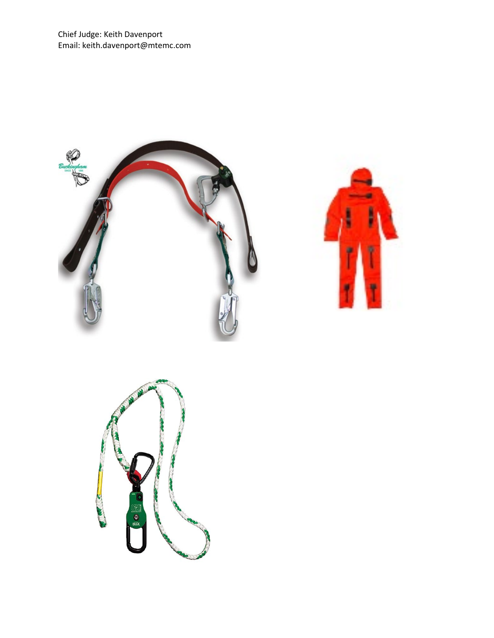